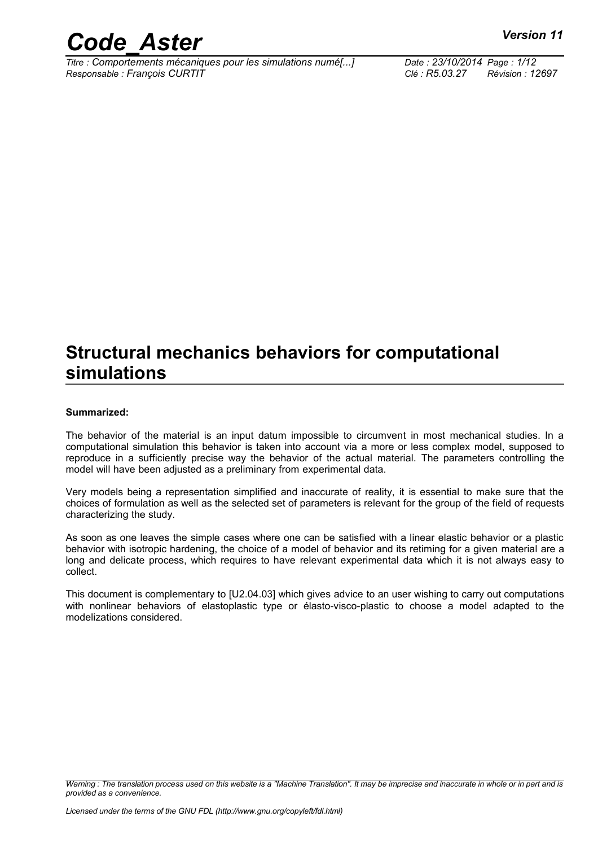

*Titre : Comportements mécaniques pour les simulations numé[...] Date : 23/10/2014 Page : 1/12 Responsable : François CURTIT Clé : R5.03.27 Révision : 12697*

### **Structural mechanics behaviors for computational simulations**

#### **Summarized:**

The behavior of the material is an input datum impossible to circumvent in most mechanical studies. In a computational simulation this behavior is taken into account via a more or less complex model, supposed to reproduce in a sufficiently precise way the behavior of the actual material. The parameters controlling the model will have been adjusted as a preliminary from experimental data.

Very models being a representation simplified and inaccurate of reality, it is essential to make sure that the choices of formulation as well as the selected set of parameters is relevant for the group of the field of requests characterizing the study.

As soon as one leaves the simple cases where one can be satisfied with a linear elastic behavior or a plastic behavior with isotropic hardening, the choice of a model of behavior and its retiming for a given material are a long and delicate process, which requires to have relevant experimental data which it is not always easy to collect.

This document is complementary to [U2.04.03] which gives advice to an user wishing to carry out computations with nonlinear behaviors of elastoplastic type or élasto-visco-plastic to choose a model adapted to the modelizations considered.

*Warning : The translation process used on this website is a "Machine Translation". It may be imprecise and inaccurate in whole or in part and is provided as a convenience.*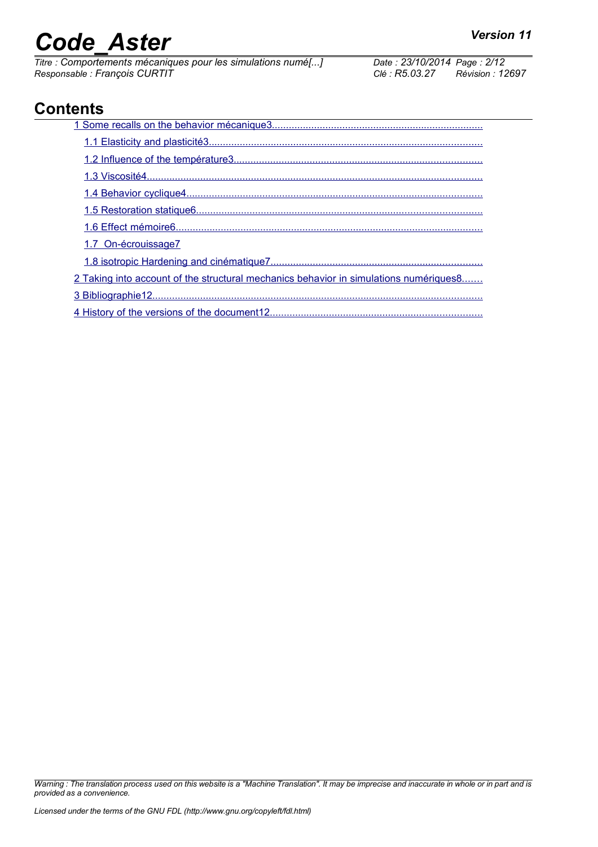# *Code\_Aster Version 11*<br>
Titre : Comportements mécaniques pour les simulations numé[...] Date : 23/10/2014 Page : 2/12

*Titre : Comportements mécaniques pour les simulations numé[...] Date : 23/10/2014 Page : 23/10/2014 Page : Page : Page : Page : Page : Page : Page : Page : Page : Page : Page : Page : Page : Page : Page : Page : Pag Responsable : François CURTIT Clé : R5.03.27 Révision : 12697*

### **Contents**

| 1.7 On-écrouissage7                                                                    |  |  |
|----------------------------------------------------------------------------------------|--|--|
|                                                                                        |  |  |
| 2 Taking into account of the structural mechanics behavior in simulations numériques 8 |  |  |
|                                                                                        |  |  |
|                                                                                        |  |  |

*Warning : The translation process used on this website is a "Machine Translation". It may be imprecise and inaccurate in whole or in part and is provided as a convenience.*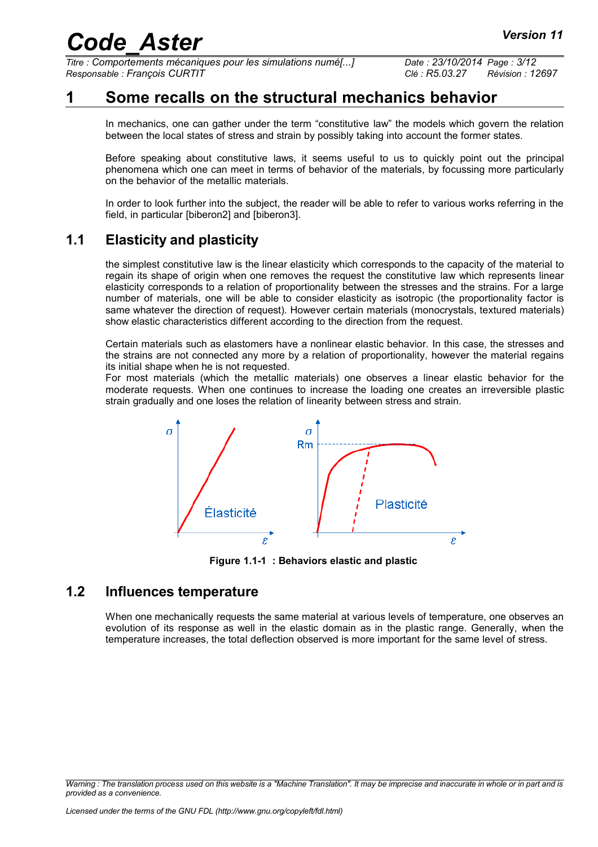*Titre : Comportements mécaniques pour les simulations numé[...] Date : 23/10/2014 Page : 3/12 Responsable : François CURTIT Clé : R5.03.27 Révision : 12697*

### **1 Some recalls on the structural mechanics behavior**

<span id="page-2-0"></span>In mechanics, one can gather under the term "constitutive law" the models which govern the relation between the local states of stress and strain by possibly taking into account the former states.

Before speaking about constitutive laws, it seems useful to us to quickly point out the principal phenomena which one can meet in terms of behavior of the materials, by focussing more particularly on the behavior of the metallic materials.

In order to look further into the subject, the reader will be able to refer to various works referring in the field, in particular [biberon2] and [biberon3].

#### **1.1 Elasticity and plasticity**

<span id="page-2-2"></span>the simplest constitutive law is the linear elasticity which corresponds to the capacity of the material to regain its shape of origin when one removes the request the constitutive law which represents linear elasticity corresponds to a relation of proportionality between the stresses and the strains. For a large number of materials, one will be able to consider elasticity as isotropic (the proportionality factor is same whatever the direction of request). However certain materials (monocrystals, textured materials) show elastic characteristics different according to the direction from the request.

Certain materials such as elastomers have a nonlinear elastic behavior. In this case, the stresses and the strains are not connected any more by a relation of proportionality, however the material regains its initial shape when he is not requested.

For most materials (which the metallic materials) one observes a linear elastic behavior for the moderate requests. When one continues to increase the loading one creates an irreversible plastic strain gradually and one loses the relation of linearity between stress and strain.



**Figure 1.1-1 : Behaviors elastic and plastic**

#### **1.2 Influences temperature**

<span id="page-2-1"></span>When one mechanically requests the same material at various levels of temperature, one observes an evolution of its response as well in the elastic domain as in the plastic range. Generally, when the temperature increases, the total deflection observed is more important for the same level of stress.

*Warning : The translation process used on this website is a "Machine Translation". It may be imprecise and inaccurate in whole or in part and is provided as a convenience.*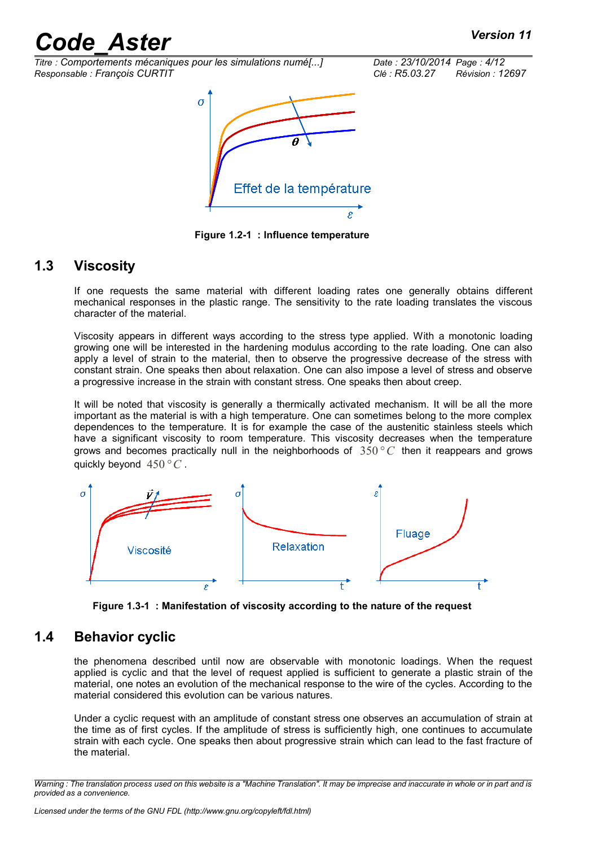*Titre : Comportements mécaniques pour les simulations numé[...] Date : 23/10/2014 Page : 4/12 Responsable : François CURTIT Clé : R5.03.27 Révision : 12697*



**Figure 1.2-1 : Influence temperature**

#### **1.3 Viscosity**

<span id="page-3-1"></span>If one requests the same material with different loading rates one generally obtains different mechanical responses in the plastic range. The sensitivity to the rate loading translates the viscous character of the material.

Viscosity appears in different ways according to the stress type applied. With a monotonic loading growing one will be interested in the hardening modulus according to the rate loading. One can also apply a level of strain to the material, then to observe the progressive decrease of the stress with constant strain. One speaks then about relaxation. One can also impose a level of stress and observe a progressive increase in the strain with constant stress. One speaks then about creep.

It will be noted that viscosity is generally a thermically activated mechanism. It will be all the more important as the material is with a high temperature. One can sometimes belong to the more complex dependences to the temperature. It is for example the case of the austenitic stainless steels which have a significant viscosity to room temperature. This viscosity decreases when the temperature grows and becomes practically null in the neighborhoods of 350*° C* then it reappears and grows quickly beyond 450*°C* .



**Figure 1.3-1 : Manifestation of viscosity according to the nature of the request**

#### **1.4 Behavior cyclic**

<span id="page-3-0"></span>the phenomena described until now are observable with monotonic loadings. When the request applied is cyclic and that the level of request applied is sufficient to generate a plastic strain of the material, one notes an evolution of the mechanical response to the wire of the cycles. According to the material considered this evolution can be various natures.

Under a cyclic request with an amplitude of constant stress one observes an accumulation of strain at the time as of first cycles. If the amplitude of stress is sufficiently high, one continues to accumulate strain with each cycle. One speaks then about progressive strain which can lead to the fast fracture of the material.

*Warning : The translation process used on this website is a "Machine Translation". It may be imprecise and inaccurate in whole or in part and is provided as a convenience.*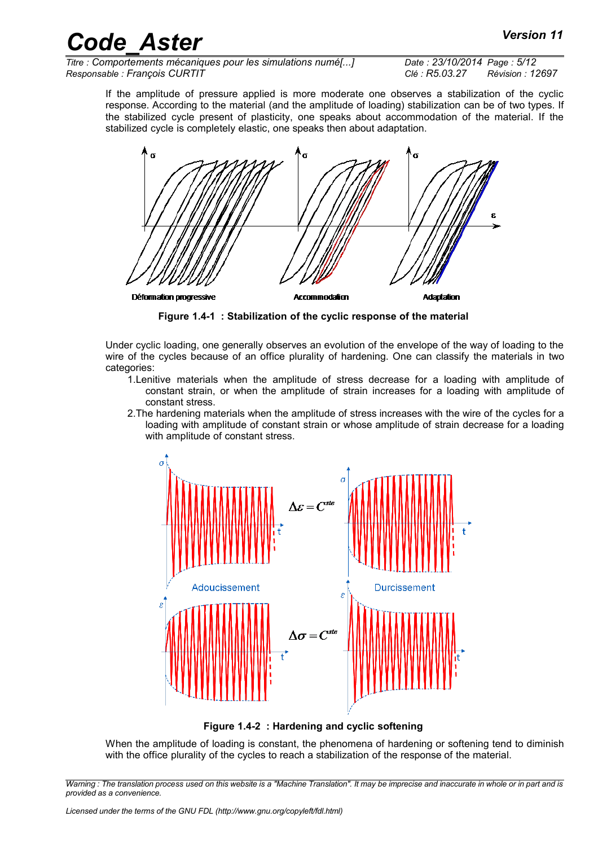*Titre : Comportements mécaniques pour les simulations numé[...] Date : 23/10/2014 Page : 5/12 Responsable : François CURTIT Clé : R5.03.27 Révision : 12697*

If the amplitude of pressure applied is more moderate one observes a stabilization of the cyclic response. According to the material (and the amplitude of loading) stabilization can be of two types. If the stabilized cycle present of plasticity, one speaks about accommodation of the material. If the stabilized cycle is completely elastic, one speaks then about adaptation.



**Figure 1.4-1 : Stabilization of the cyclic response of the material**

Under cyclic loading, one generally observes an evolution of the envelope of the way of loading to the wire of the cycles because of an office plurality of hardening. One can classify the materials in two categories:

- 1.Lenitive materials when the amplitude of stress decrease for a loading with amplitude of constant strain, or when the amplitude of strain increases for a loading with amplitude of constant stress.
- 2.The hardening materials when the amplitude of stress increases with the wire of the cycles for a loading with amplitude of constant strain or whose amplitude of strain decrease for a loading with amplitude of constant stress.



**Figure 1.4-2 : Hardening and cyclic softening**

When the amplitude of loading is constant, the phenomena of hardening or softening tend to diminish with the office plurality of the cycles to reach a stabilization of the response of the material.

*Warning : The translation process used on this website is a "Machine Translation". It may be imprecise and inaccurate in whole or in part and is provided as a convenience.*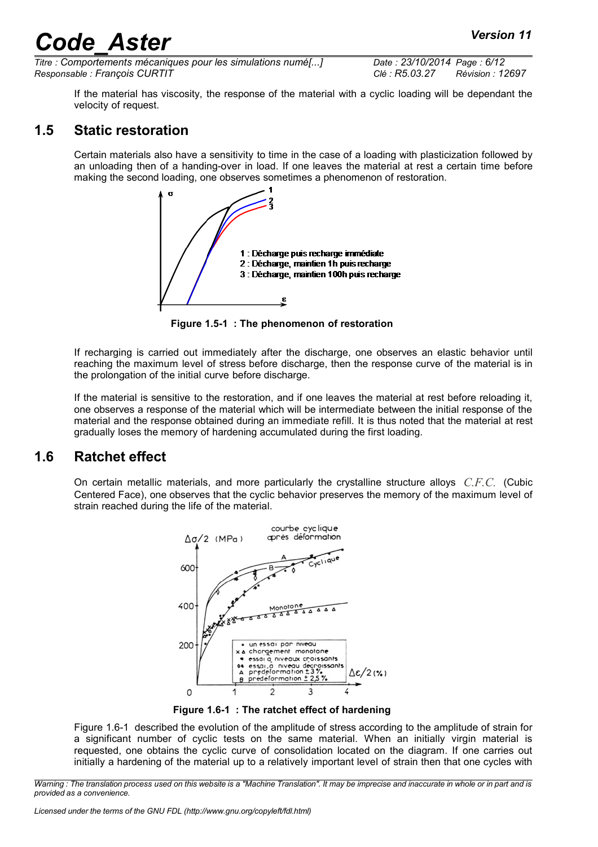*Titre : Comportements mécaniques pour les simulations numé[...] Date : 23/10/2014 Page : 6/12 Responsable : François CURTIT Clé : R5.03.27 Révision : 12697*

If the material has viscosity, the response of the material with a cyclic loading will be dependant the velocity of request.

#### **1.5 Static restoration**

<span id="page-5-1"></span>Certain materials also have a sensitivity to time in the case of a loading with plasticization followed by an unloading then of a handing-over in load. If one leaves the material at rest a certain time before making the second loading, one observes sometimes a phenomenon of restoration.



**Figure 1.5-1 : The phenomenon of restoration**

If recharging is carried out immediately after the discharge, one observes an elastic behavior until reaching the maximum level of stress before discharge, then the response curve of the material is in the prolongation of the initial curve before discharge.

If the material is sensitive to the restoration, and if one leaves the material at rest before reloading it, one observes a response of the material which will be intermediate between the initial response of the material and the response obtained during an immediate refill. It is thus noted that the material at rest gradually loses the memory of hardening accumulated during the first loading.

#### **1.6 Ratchet effect**

<span id="page-5-0"></span>On certain metallic materials, and more particularly the crystalline structure alloys *C.F.C.* (Cubic Centered Face), one observes that the cyclic behavior preserves the memory of the maximum level of strain reached during the life of the material.



<span id="page-5-2"></span>**Figure 1.6-1 : The ratchet effect of hardening**

[Figure 1.6-1](#page-5-2) described the evolution of the amplitude of stress according to the amplitude of strain for a significant number of cyclic tests on the same material. When an initially virgin material is requested, one obtains the cyclic curve of consolidation located on the diagram. If one carries out initially a hardening of the material up to a relatively important level of strain then that one cycles with

*Warning : The translation process used on this website is a "Machine Translation". It may be imprecise and inaccurate in whole or in part and is provided as a convenience.*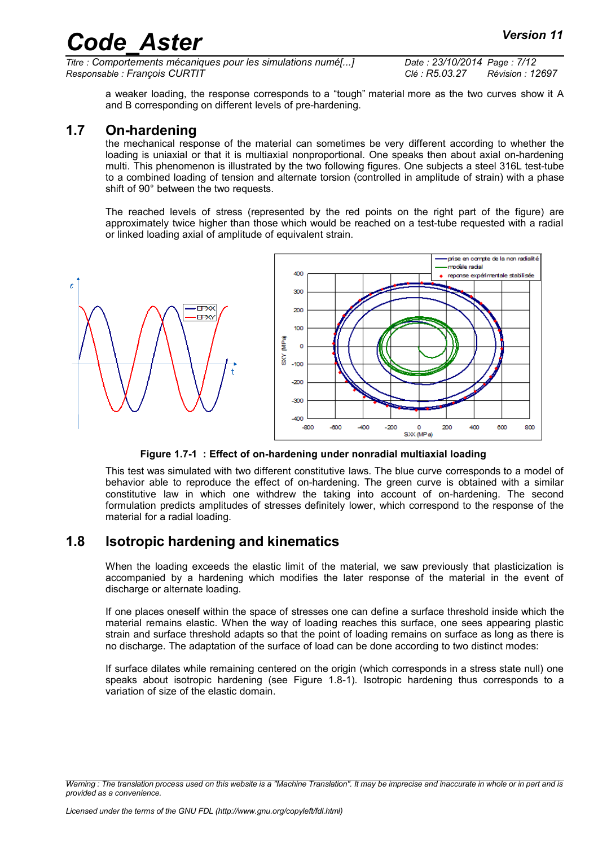*Titre : Comportements mécaniques pour les simulations numé[...] Date : 23/10/2014 Page : 7/12 Responsable : François CURTIT Clé : R5.03.27 Révision : 12697*

a weaker loading, the response corresponds to a "tough" material more as the two curves show it A and B corresponding on different levels of pre-hardening.

#### **1.7 On-hardening**

<span id="page-6-1"></span>the mechanical response of the material can sometimes be very different according to whether the loading is uniaxial or that it is multiaxial nonproportional. One speaks then about axial on-hardening multi. This phenomenon is illustrated by the two following figures. One subjects a steel 316L test-tube to a combined loading of tension and alternate torsion (controlled in amplitude of strain) with a phase shift of 90° between the two requests.

The reached levels of stress (represented by the red points on the right part of the figure) are approximately twice higher than those which would be reached on a test-tube requested with a radial or linked loading axial of amplitude of equivalent strain.



**Figure 1.7-1 : Effect of on-hardening under nonradial multiaxial loading**

This test was simulated with two different constitutive laws. The blue curve corresponds to a model of behavior able to reproduce the effect of on-hardening. The green curve is obtained with a similar constitutive law in which one withdrew the taking into account of on-hardening. The second formulation predicts amplitudes of stresses definitely lower, which correspond to the response of the material for a radial loading.

#### **1.8 Isotropic hardening and kinematics**

<span id="page-6-0"></span>When the loading exceeds the elastic limit of the material, we saw previously that plasticization is accompanied by a hardening which modifies the later response of the material in the event of discharge or alternate loading.

If one places oneself within the space of stresses one can define a surface threshold inside which the material remains elastic. When the way of loading reaches this surface, one sees appearing plastic strain and surface threshold adapts so that the point of loading remains on surface as long as there is no discharge. The adaptation of the surface of load can be done according to two distinct modes:

If surface dilates while remaining centered on the origin (which corresponds in a stress state null) one speaks about isotropic hardening (see [Figure 1.8-1\)](#page-7-1). Isotropic hardening thus corresponds to a variation of size of the elastic domain.

*Warning : The translation process used on this website is a "Machine Translation". It may be imprecise and inaccurate in whole or in part and is provided as a convenience.*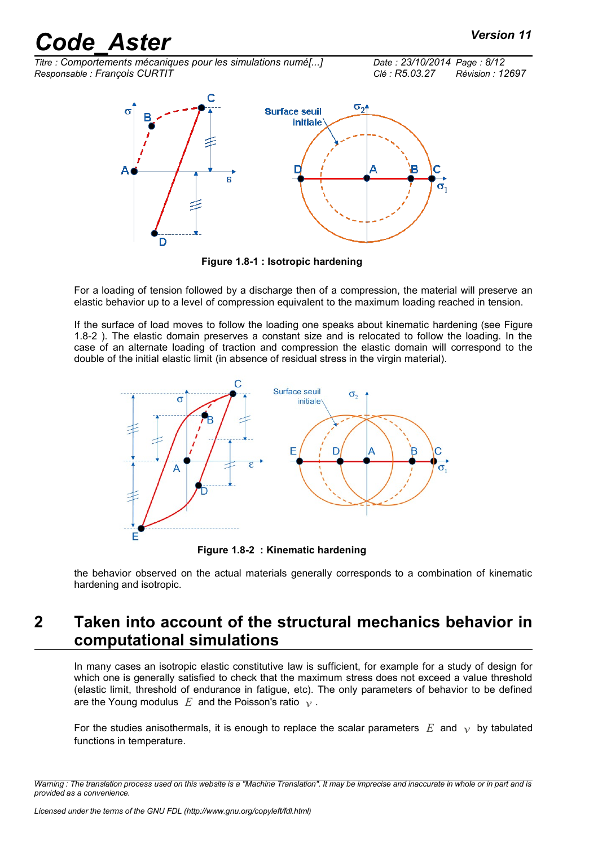*Titre : Comportements mécaniques pour les simulations numé[...] Date : 23/10/2014 Page : 8/12 Responsable : François CURTIT Clé : R5.03.27 Révision : 12697*



<span id="page-7-1"></span>**Figure 1.8-1 : Isotropic hardening**

For a loading of tension followed by a discharge then of a compression, the material will preserve an elastic behavior up to a level of compression equivalent to the maximum loading reached in tension.

If the surface of load moves to follow the loading one speaks about kinematic hardening (see [Figure](#page-7-2) [1.8-2 \)](#page-7-2). The elastic domain preserves a constant size and is relocated to follow the loading. In the case of an alternate loading of traction and compression the elastic domain will correspond to the double of the initial elastic limit (in absence of residual stress in the virgin material).



<span id="page-7-2"></span>**Figure 1.8-2 : Kinematic hardening**

the behavior observed on the actual materials generally corresponds to a combination of kinematic hardening and isotropic.

### <span id="page-7-0"></span>**2 Taken into account of the structural mechanics behavior in computational simulations**

In many cases an isotropic elastic constitutive law is sufficient, for example for a study of design for which one is generally satisfied to check that the maximum stress does not exceed a value threshold (elastic limit, threshold of endurance in fatigue, etc). The only parameters of behavior to be defined are the Young modulus  $E$  and the Poisson's ratio  $\gamma$ .

For the studies anisothermals, it is enough to replace the scalar parameters  $E$  and  $\nu$  by tabulated functions in temperature.

*Warning : The translation process used on this website is a "Machine Translation". It may be imprecise and inaccurate in whole or in part and is provided as a convenience.*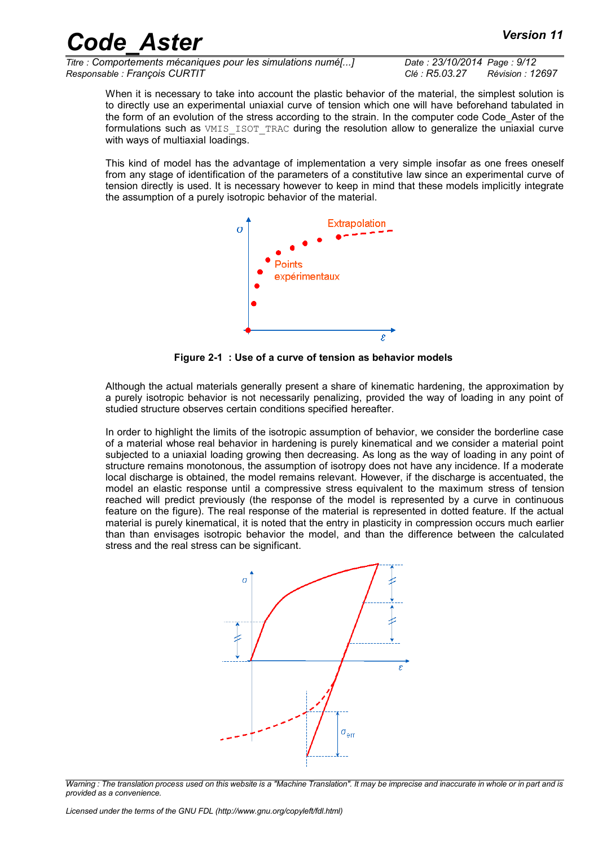*Titre : Comportements mécaniques pour les simulations numé[...] Date : 23/10/2014 Page : 9/12 Responsable : François CURTIT Clé : R5.03.27 Révision : 12697*

When it is necessary to take into account the plastic behavior of the material, the simplest solution is to directly use an experimental uniaxial curve of tension which one will have beforehand tabulated in the form of an evolution of the stress according to the strain. In the computer code Code\_Aster of the formulations such as VMIS\_ISOT\_TRAC during the resolution allow to generalize the uniaxial curve with ways of multiaxial loadings.

This kind of model has the advantage of implementation a very simple insofar as one frees oneself from any stage of identification of the parameters of a constitutive law since an experimental curve of tension directly is used. It is necessary however to keep in mind that these models implicitly integrate the assumption of a purely isotropic behavior of the material.



**Figure 2-1 : Use of a curve of tension as behavior models**

Although the actual materials generally present a share of kinematic hardening, the approximation by a purely isotropic behavior is not necessarily penalizing, provided the way of loading in any point of studied structure observes certain conditions specified hereafter.

In order to highlight the limits of the isotropic assumption of behavior, we consider the borderline case of a material whose real behavior in hardening is purely kinematical and we consider a material point subjected to a uniaxial loading growing then decreasing. As long as the way of loading in any point of structure remains monotonous, the assumption of isotropy does not have any incidence. If a moderate local discharge is obtained, the model remains relevant. However, if the discharge is accentuated, the model an elastic response until a compressive stress equivalent to the maximum stress of tension reached will predict previously (the response of the model is represented by a curve in continuous feature on the figure). The real response of the material is represented in dotted feature. If the actual material is purely kinematical, it is noted that the entry in plasticity in compression occurs much earlier than than envisages isotropic behavior the model, and than the difference between the calculated stress and the real stress can be significant.



*Warning : The translation process used on this website is a "Machine Translation". It may be imprecise and inaccurate in whole or in part and is provided as a convenience.*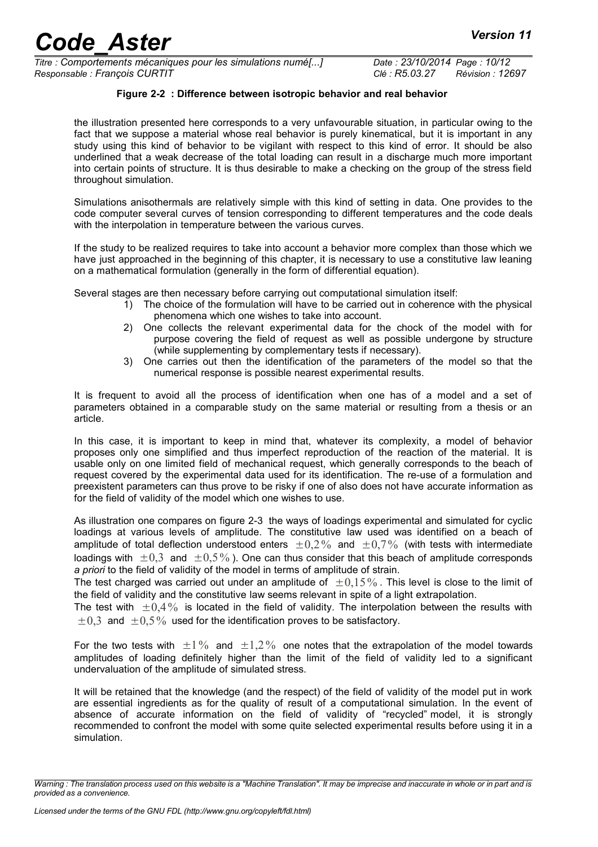*Titre : Comportements mécaniques pour les simulations numé[...] Date : 23/10/2014 Page : 10/12 Responsable : François CURTIT Clé : R5.03.27 Révision : 12697*

#### **Figure 2-2 : Difference between isotropic behavior and real behavior**

the illustration presented here corresponds to a very unfavourable situation, in particular owing to the fact that we suppose a material whose real behavior is purely kinematical, but it is important in any study using this kind of behavior to be vigilant with respect to this kind of error. It should be also underlined that a weak decrease of the total loading can result in a discharge much more important into certain points of structure. It is thus desirable to make a checking on the group of the stress field throughout simulation.

Simulations anisothermals are relatively simple with this kind of setting in data. One provides to the code computer several curves of tension corresponding to different temperatures and the code deals with the interpolation in temperature between the various curves.

If the study to be realized requires to take into account a behavior more complex than those which we have just approached in the beginning of this chapter, it is necessary to use a constitutive law leaning on a mathematical formulation (generally in the form of differential equation).

Several stages are then necessary before carrying out computational simulation itself:

- 1) The choice of the formulation will have to be carried out in coherence with the physical phenomena which one wishes to take into account.
- 2) One collects the relevant experimental data for the chock of the model with for purpose covering the field of request as well as possible undergone by structure (while supplementing by complementary tests if necessary).
- 3) One carries out then the identification of the parameters of the model so that the numerical response is possible nearest experimental results.

It is frequent to avoid all the process of identification when one has of a model and a set of parameters obtained in a comparable study on the same material or resulting from a thesis or an article.

In this case, it is important to keep in mind that, whatever its complexity, a model of behavior proposes only one simplified and thus imperfect reproduction of the reaction of the material. It is usable only on one limited field of mechanical request, which generally corresponds to the beach of request covered by the experimental data used for its identification. The re-use of a formulation and preexistent parameters can thus prove to be risky if one of also does not have accurate information as for the field of validity of the model which one wishes to use.

As illustration one compares on figure 2-3 the ways of loadings experimental and simulated for cyclic loadings at various levels of amplitude. The constitutive law used was identified on a beach of amplitude of total deflection understood enters  $\pm 0.2\%$  and  $\pm 0.7\%$  (with tests with intermediate loadings with  $\pm 0.3$  and  $\pm 0.5\%$ ). One can thus consider that this beach of amplitude corresponds *a priori* to the field of validity of the model in terms of amplitude of strain.

The test charged was carried out under an amplitude of  $\pm 0.15\%$ . This level is close to the limit of the field of validity and the constitutive law seems relevant in spite of a light extrapolation.

The test with  $\pm 0.4\%$  is located in the field of validity. The interpolation between the results with  $\pm 0.3$  and  $\pm 0.5\%$  used for the identification proves to be satisfactory.

For the two tests with  $\pm 1\%$  and  $\pm 1.2\%$  one notes that the extrapolation of the model towards amplitudes of loading definitely higher than the limit of the field of validity led to a significant undervaluation of the amplitude of simulated stress.

It will be retained that the knowledge (and the respect) of the field of validity of the model put in work are essential ingredients as for the quality of result of a computational simulation. In the event of absence of accurate information on the field of validity of "recycled" model, it is strongly recommended to confront the model with some quite selected experimental results before using it in a simulation.

*Warning : The translation process used on this website is a "Machine Translation". It may be imprecise and inaccurate in whole or in part and is provided as a convenience.*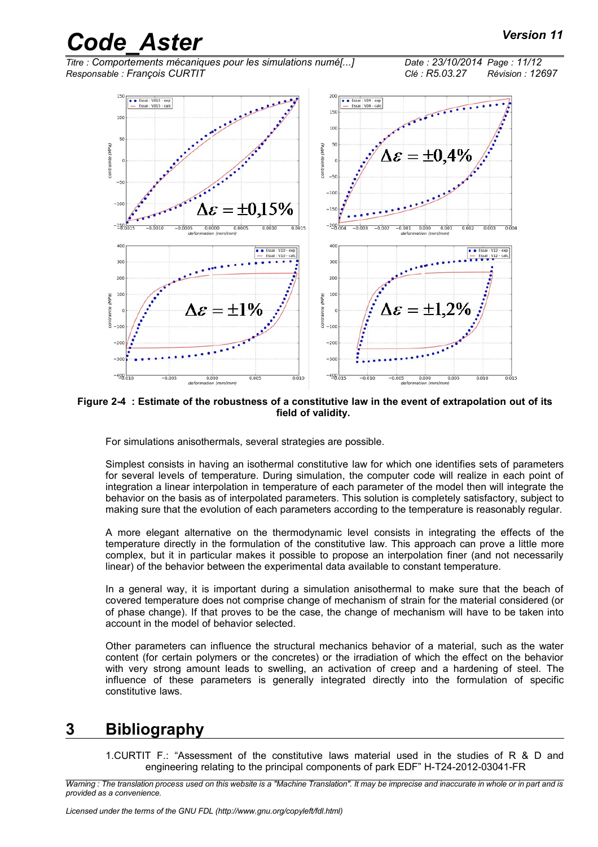*Titre : Comportements mécaniques pour les simulations numé[...] Date : 23/10/2014 Page : 11/12 Responsable : François CURTIT Clé : R5.03.27 Révision : 12697*



#### **Figure 2-4 : Estimate of the robustness of a constitutive law in the event of extrapolation out of its field of validity.**

For simulations anisothermals, several strategies are possible.

Simplest consists in having an isothermal constitutive law for which one identifies sets of parameters for several levels of temperature. During simulation, the computer code will realize in each point of integration a linear interpolation in temperature of each parameter of the model then will integrate the behavior on the basis as of interpolated parameters. This solution is completely satisfactory, subject to making sure that the evolution of each parameters according to the temperature is reasonably regular.

A more elegant alternative on the thermodynamic level consists in integrating the effects of the temperature directly in the formulation of the constitutive law. This approach can prove a little more complex, but it in particular makes it possible to propose an interpolation finer (and not necessarily linear) of the behavior between the experimental data available to constant temperature.

In a general way, it is important during a simulation anisothermal to make sure that the beach of covered temperature does not comprise change of mechanism of strain for the material considered (or of phase change). If that proves to be the case, the change of mechanism will have to be taken into account in the model of behavior selected.

Other parameters can influence the structural mechanics behavior of a material, such as the water content (for certain polymers or the concretes) or the irradiation of which the effect on the behavior with very strong amount leads to swelling, an activation of creep and a hardening of steel. The influence of these parameters is generally integrated directly into the formulation of specific constitutive laws.

### **3 Bibliography**

<span id="page-10-0"></span>1.CURTIT F.: "Assessment of the constitutive laws material used in the studies of R & D and engineering relating to the principal components of park EDF" H-T24-2012-03041-FR

*Warning : The translation process used on this website is a "Machine Translation". It may be imprecise and inaccurate in whole or in part and is provided as a convenience.*